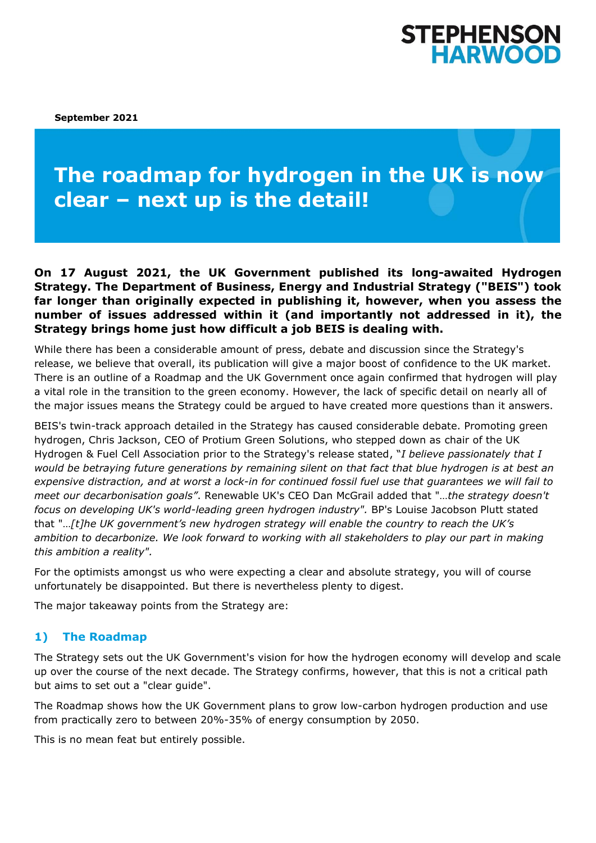## **STEPHENSON HARWOOD**

**September 2021**

# **The roadmap for hydrogen in the UK is now clear – next up is the detail!**

**On 17 August 2021, the UK Government published its long-awaited Hydrogen Strategy. The Department of Business, Energy and Industrial Strategy ("BEIS") took far longer than originally expected in publishing it, however, when you assess the number of issues addressed within it (and importantly not addressed in it), the Strategy brings home just how difficult a job BEIS is dealing with.** 

While there has been a considerable amount of press, debate and discussion since the Strategy's release, we believe that overall, its publication will give a major boost of confidence to the UK market. There is an outline of a Roadmap and the UK Government once again confirmed that hydrogen will play a vital role in the transition to the green economy. However, the lack of specific detail on nearly all of the major issues means the Strategy could be argued to have created more questions than it answers.

BEIS's twin-track approach detailed in the Strategy has caused considerable debate. Promoting green hydrogen, Chris Jackson, CEO of Protium Green Solutions, who stepped down as chair of the UK Hydrogen & Fuel Cell Association prior to the Strategy's release stated, "*I believe passionately that I would be betraying future generations by remaining silent on that fact that blue hydrogen is at best an expensive distraction, and at worst a lock-in for continued fossil fuel use that guarantees we will fail to meet our decarbonisation goals"*. Renewable UK's CEO Dan McGrail added that "…*the strategy doesn't focus on developing UK's world-leading green hydrogen industry".* BP's Louise Jacobson Plutt stated that "…*[t]he UK government's new hydrogen strategy will enable the country to reach the UK's ambition to decarbonize. We look forward to working with all stakeholders to play our part in making this ambition a reality".*

For the optimists amongst us who were expecting a clear and absolute strategy, you will of course unfortunately be disappointed. But there is nevertheless plenty to digest.

The major takeaway points from the Strategy are:

## **1) The Roadmap**

The Strategy sets out the UK Government's vision for how the hydrogen economy will develop and scale up over the course of the next decade. The Strategy confirms, however, that this is not a critical path but aims to set out a "clear guide".

The Roadmap shows how the UK Government plans to grow low-carbon hydrogen production and use from practically zero to between 20%-35% of energy consumption by 2050.

This is no mean feat but entirely possible.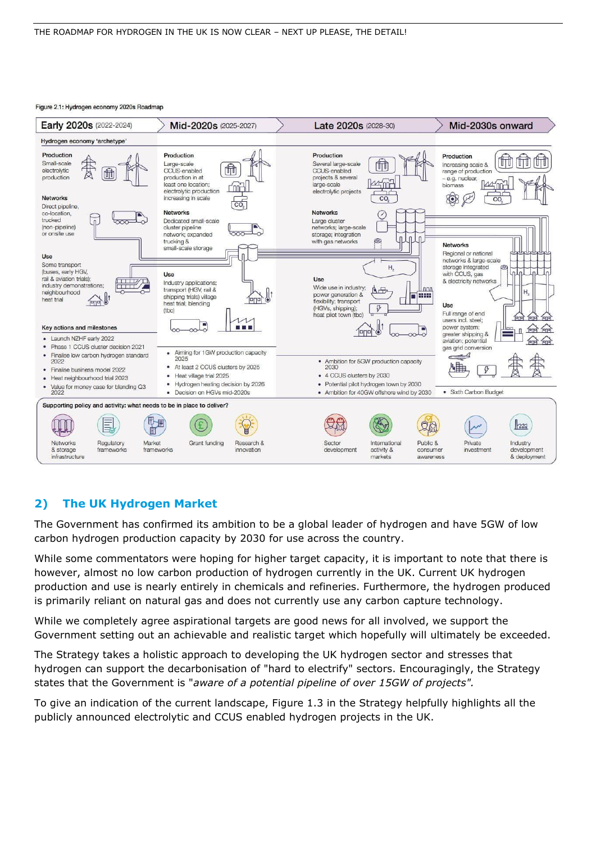#### Figure 2.1: Hydrogen economy 2020s Roadmap



## **2) The UK Hydrogen Market**

The Government has confirmed its ambition to be a global leader of hydrogen and have 5GW of low carbon hydrogen production capacity by 2030 for use across the country.

While some commentators were hoping for higher target capacity, it is important to note that there is however, almost no low carbon production of hydrogen currently in the UK. Current UK hydrogen production and use is nearly entirely in chemicals and refineries. Furthermore, the hydrogen produced is primarily reliant on natural gas and does not currently use any carbon capture technology.

While we completely agree aspirational targets are good news for all involved, we support the Government setting out an achievable and realistic target which hopefully will ultimately be exceeded.

The Strategy takes a holistic approach to developing the UK hydrogen sector and stresses that hydrogen can support the decarbonisation of "hard to electrify" sectors. Encouragingly, the Strategy states that the Government is "*aware of a potential pipeline of over 15GW of projects".* 

To give an indication of the current landscape, Figure 1.3 in the Strategy helpfully highlights all the publicly announced electrolytic and CCUS enabled hydrogen projects in the UK.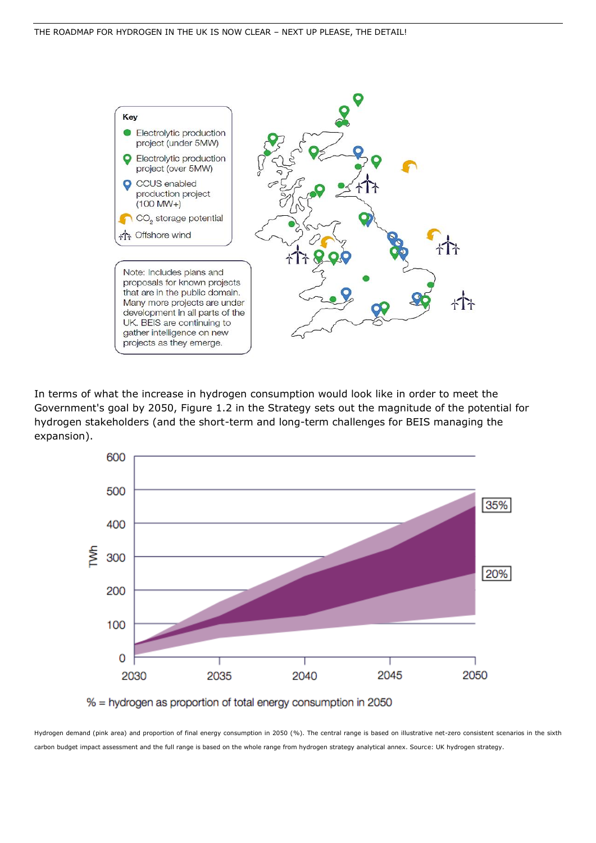

In terms of what the increase in hydrogen consumption would look like in order to meet the Government's goal by 2050, Figure 1.2 in the Strategy sets out the magnitude of the potential for hydrogen stakeholders (and the short-term and long-term challenges for BEIS managing the expansion).



% = hydrogen as proportion of total energy consumption in 2050

Hydrogen demand (pink area) and proportion of final energy consumption in 2050 (%). The central range is based on illustrative net-zero consistent scenarios in the sixth carbon budget impact assessment and the full range is based on the whole range from hydrogen strategy analytical annex. Source: [UK hydrogen strategy.](https://www.gov.uk/government/publications/uk-hydrogen-strategy)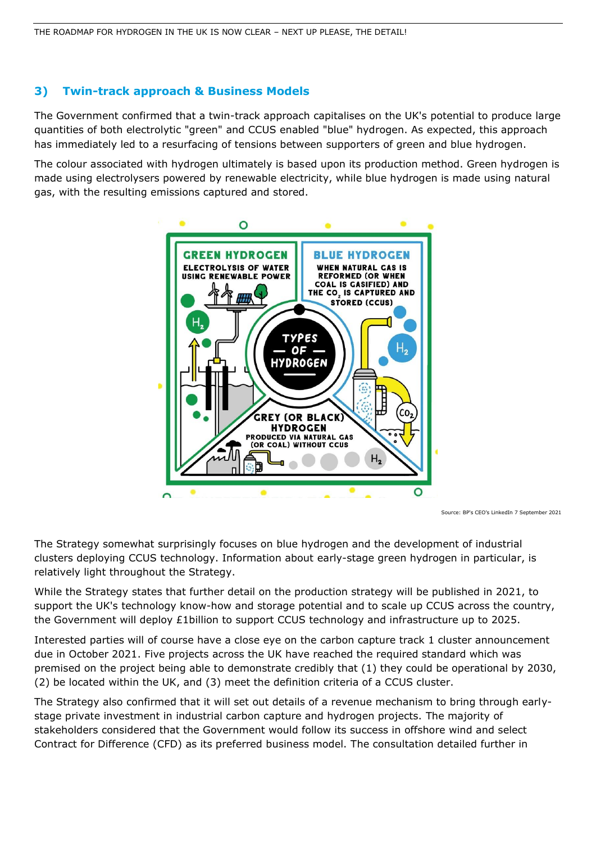## **3) Twin-track approach & Business Models**

The Government confirmed that a twin-track approach capitalises on the UK's potential to produce large quantities of both electrolytic "green" and CCUS enabled "blue" hydrogen. As expected, this approach has immediately led to a resurfacing of tensions between supporters of green and blue hydrogen.

The colour associated with hydrogen ultimately is based upon its production method. Green hydrogen is made using electrolysers powered by renewable electricity, while blue hydrogen is made using natural gas, with the resulting emissions captured and stored.



Source: BP's CEO's LinkedIn 7 September 2021

The Strategy somewhat surprisingly focuses on blue hydrogen and the development of industrial clusters deploying CCUS technology. Information about early-stage green hydrogen in particular, is relatively light throughout the Strategy.

While the Strategy states that further detail on the production strategy will be published in 2021, to support the UK's technology know-how and storage potential and to scale up CCUS across the country, the Government will deploy £1billion to support CCUS technology and infrastructure up to 2025.

Interested parties will of course have a close eye on the carbon capture track 1 cluster announcement due in October 2021. Five projects across the UK have reached the required standard which was premised on the project being able to demonstrate credibly that (1) they could be operational by 2030, (2) be located within the UK, and (3) meet the definition criteria of a CCUS cluster.

The Strategy also confirmed that it will set out details of a revenue mechanism to bring through earlystage private investment in industrial carbon capture and hydrogen projects. The majority of stakeholders considered that the Government would follow its success in offshore wind and select Contract for Difference (CFD) as its preferred business model. The consultation detailed further in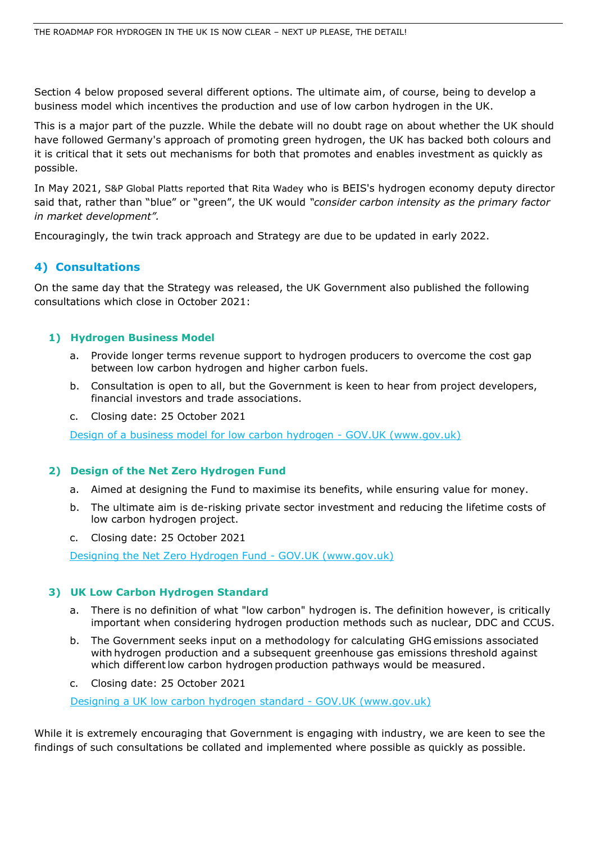Section 4 below proposed several different options. The ultimate aim, of course, being to develop a business model which incentives the production and use of low carbon hydrogen in the UK.

This is a major part of the puzzle. While the debate will no doubt rage on about whether the UK should have followed Germany's approach of promoting green hydrogen, the UK has backed both colours and it is critical that it sets out mechanisms for both that promotes and enables investment as quickly as possible.

In May 2021, [S&P Global Platts reported](https://www.spglobal.com/platts/en/market-insights/latest-news/electric-power/052521-uk-to-move-away-from-colors-in-hydrogen-strategy-beis-director) that [Rita Wadey](https://twitter.com/ritawadey?ref_src=twsrc%5Egoogle%7Ctwcamp%5Eserp%7Ctwgr%5Eauthor) who is BEIS's hydrogen economy deputy director said that, rather than "blue" or "green", the UK would *"consider carbon intensity as the primary factor in market development".*

Encouragingly, the twin track approach and Strategy are due to be updated in early 2022.

## **4) Consultations**

On the same day that the Strategy was released, the UK Government also published the following consultations which close in October 2021:

#### **1) Hydrogen Business Model**

- a. Provide longer terms revenue support to hydrogen producers to overcome the cost gap between low carbon hydrogen and higher carbon fuels.
- b. Consultation is open to all, but the Government is keen to hear from project developers, financial investors and trade associations.
- c. Closing date: 25 October 2021

Design of a business model for low carbon hydrogen - GOV.UK (www.gov.uk)

#### **2) Design of the Net Zero Hydrogen Fund**

- a. Aimed at designing the Fund to maximise its benefits, while ensuring value for money.
- b. The ultimate aim is de-risking private sector investment and reducing the lifetime costs of low carbon hydrogen project.
- c. Closing date: 25 October 2021

Designing the Net Zero Hydrogen Fund - GOV.UK (www.gov.uk)

#### **3) UK Low Carbon Hydrogen Standard**

- a. There is no definition of what "low carbon" hydrogen is. The definition however, is critically important when considering hydrogen production methods such as nuclear, DDC and CCUS.
- b. The Government seeks input on a methodology for calculating GHG emissions associated with hydrogen production and a subsequent greenhouse gas emissions threshold against which different low carbon hydrogen production pathways would be measured.
- c. Closing date: 25 October 2021

Designing a UK low carbon hydrogen standard - GOV.UK (www.gov.uk)

While it is extremely encouraging that Government is engaging with industry, we are keen to see the findings of such consultations be collated and implemented where possible as quickly as possible.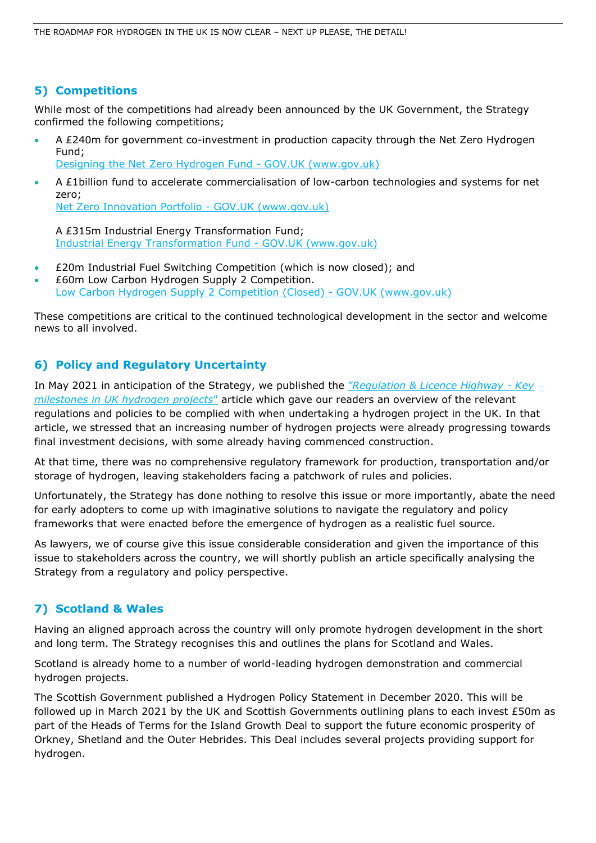## **5) Competitions**

While most of the competitions had already been announced by the UK Government, the Strategy confirmed the following competitions;

- A £240m for government co-investment in production capacity through the Net Zero Hydrogen Fund;
- Designing the Net Zero Hydrogen Fund GOV.UK (www.gov.uk)
- A £1billion fund to accelerate commercialisation of low-carbon technologies and systems for net zero; Net Zero Innovation Portfolio - GOV.UK (www.gov.uk)

A £315m Industrial Energy Transformation Fund; Industrial Energy Transformation Fund - GOV.UK (www.gov.uk)

- £20m Industrial Fuel Switching Competition (which is now closed); and
- £60m Low Carbon Hydrogen Supply 2 Competition. Low Carbon Hydrogen Supply 2 Competition (Closed) - GOV.UK (www.gov.uk)

These competitions are critical to the continued technological development in the sector and welcome news to all involved.

## **6) Policy and Regulatory Uncertainty**

In May 2021 in anticipation of the Strategy, we published the *["Regulation & Licence Highway -](https://www.offshoreenergylaw.com/sites/default/files/pdf/Regulation%20%26%20Licence%20Highway_Key%20milestones%20in%20UK%20hydrogen%20projects.pdf) Key [milestones in UK hydrogen projects](https://www.offshoreenergylaw.com/sites/default/files/pdf/Regulation%20%26%20Licence%20Highway_Key%20milestones%20in%20UK%20hydrogen%20projects.pdf)*" article which gave our readers an overview of the relevant regulations and policies to be complied with when undertaking a hydrogen project in the UK. In that article, we stressed that an increasing number of hydrogen projects were already progressing towards final investment decisions, with some already having commenced construction.

At that time, there was no comprehensive regulatory framework for production, transportation and/or storage of hydrogen, leaving stakeholders facing a patchwork of rules and policies.

Unfortunately, the Strategy has done nothing to resolve this issue or more importantly, abate the need for early adopters to come up with imaginative solutions to navigate the regulatory and policy frameworks that were enacted before the emergence of hydrogen as a realistic fuel source.

As lawyers, we of course give this issue considerable consideration and given the importance of this issue to stakeholders across the country, we will shortly publish an article specifically analysing the Strategy from a regulatory and policy perspective.

## **7) Scotland & Wales**

Having an aligned approach across the country will only promote hydrogen development in the short and long term. The Strategy recognises this and outlines the plans for Scotland and Wales.

Scotland is already home to a number of world-leading hydrogen demonstration and commercial hydrogen projects.

The Scottish Government published a Hydrogen Policy Statement in December 2020. This will be followed up in March 2021 by the UK and Scottish Governments outlining plans to each invest £50m as part of the Heads of Terms for the Island Growth Deal to support the future economic prosperity of Orkney, Shetland and the Outer Hebrides. This Deal includes several projects providing support for hydrogen.